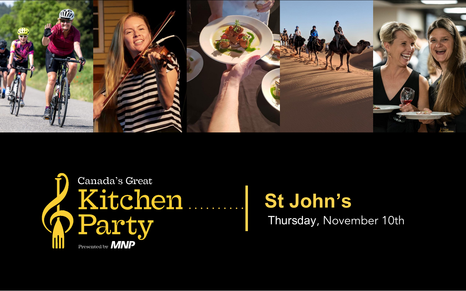



# **St John's** Thursday, November 10th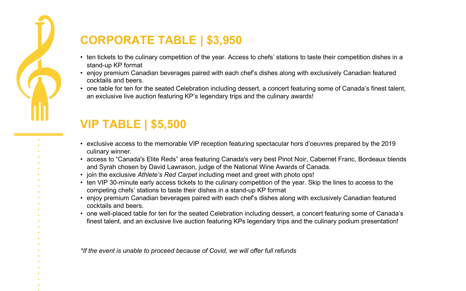

### **CORPORATE TABLE | \$3,950**

- ten tickets to the culinary competition of the year. Access to chefs' stations to taste their competition dishes in a stand-up KP format
- enjoy premium Canadian beverages paired with each chef's dishes along with exclusively Canadian featured cocktails and beers.
- one table for ten for the seated Celebration including dessert, a concert featuring some of Canada's finest talent, an exclusive live auction featuring KP's legendary trips and the culinary awards!

## **VIP TABLE | \$5,500**

- exclusive access to the memorable VIP reception featuring spectacular hors d'oeuvres prepared by the 2019 culinary winner.
- access to "Canada's Elite Reds" area featuring Canada's very best Pinot Noir, Cabernet Franc, Bordeaux blends and Syrah chosen by David Lawrason, judge of the National Wine Awards of Canada.
- join the exclusive *Athlete's Red Carpet* including meet and greet with photo ops!
- ten VIP 30-minute early access tickets to the culinary competition of the year. Skip the lines to access to the competing chefs' stations to taste their dishes in a stand-up KP format
- enjoy premium Canadian beverages paired with each chef's dishes along with exclusively Canadian featured cocktails and beers.
- one well-placed table for ten for the seated Celebration including dessert, a concert featuring some of Canada's finest talent, and an exclusive live auction featuring KPs legendary trips and the culinary podium presentation!

*\*If the event is unable to proceed because of Covid, we will offer full refunds*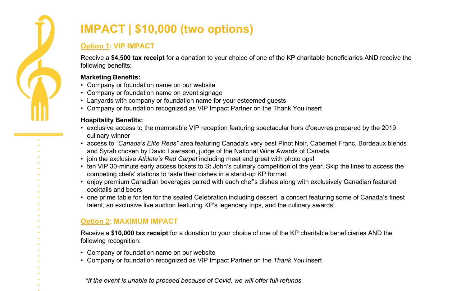

# **IMPACT | \$10,000 (two options)**

#### **Option 1: VIP IMPACT**

Receive a **\$4,500 tax receipt** for a donation to your choice of one of the KP charitable beneficiaries AND receive the following benefits:

#### **Marketing Benefits:**

- Company or foundation name on our website
- Company or foundation name on event signage
- Lanyards with company or foundation name for your esteemed guests
- Lanyards with company or foundation name for your esteemed guests<br>• Company or foundation recognized as VIP Impact Partner on the Thank You insert

#### **Hospitality Benefits:**

- nosрпанту венентs.<br>∙ exclusive access to the memorable VIP reception featuring spectacular hors d'oeuvres prepared by the 2019 culinary winner
- Sport: Athlete Meet and Greet access to *"Canada's Elite Reds"* area featuring Canada's very best Pinot Noir, Cabernet Franc, Bordeaux blends and Syrah chosen by David Lawrason, judge of the National Wine Awards of Canada
- join the exclusive *Athlete's Red Carpet* including meet and greet with photo ops!
- $\cdot$  ten VIP 30-minute early access tickets to St John's culinary competition of the year. Skip the lines to access the competing chefs' stations to taste their dishes in a stand-up KP format
- enjoy premium Canadian beverages paired with each chef's dishes along with exclusively Canadian featured<br>cocktails and beers cocktails and beers
- talent, an exclusive live auction featuring KP's legendary trips, and the culinary awards!<br> • one prime table for ten for the seated Celebration including dessert, a concert featuring some of Canada's finest

#### **Option 2: MAXIMUM IMPACT**

Media Receive a **\$10,000 tax receipt** for a donation to your choice of one of the KP charitable beneficiaries AND the following recognition:

- Company or foundation name on our website
- Company or foundation recognized as VIP Impact Partner on the *Thank You* insert

*\*If the event is unable to proceed because of Covid, we will offer full refunds*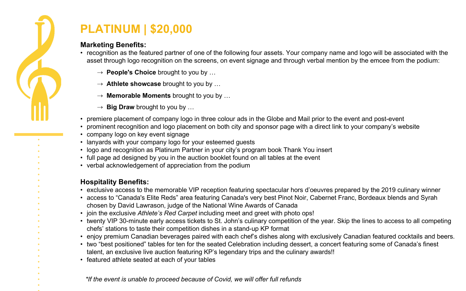

## **PLATINUM | \$20,000**

#### **Marketing Benefits:**

- recognition as the featured partner of one of the following four assets. Your company name and logo will be associated with the asset through logo recognition on the screens, on event signage and through verbal mention by the emcee from the podium:
	- ⇢ **People's Choice** brought to you by …
	- ⇢ **Athlete showcase** brought to you by …
	- ⇢ **Memorable Moments** brought to you by …
	- ⇢ **Big Draw** brought to you by …
- premiere placement of company logo in three colour ads in the Globe and Mail prior to the event and post-event
- prominent recognition and logo placement on both city and sponsor page with a direct link to your company's website
- company logo on key event signage
- lanyards with your company logo for your esteemed guests
- Ianyards with your company logo tor your esteemed guests<br>• logo and recognition as Platinum Partner in your city's program book Thank You insert
- full page ad designed by you in the auction booklet found on all tables at the event
- verbal acknowledgement of appreciation from the podium

#### **Hospitality Benefits:**

- exclusive access to the memorable VIP reception featuring spectacular hors d'oeuvres prepared by the 2019 culinary winner<br>∙ exclusive access to the memorable VIP reception featuring spectacular hors d'oeuvres prepared
- access to "Canada's Elite Reds" area featuring Canada's very best Pinot Noir, Cabernet Franc, Bordeaux blends and Syrah chosen by David Lawrason, judge of the National Wine Awards of Canada
- chosen by David Lawrason, judge of the National Wine Awards of Canada<br>• join the exclusive *Athlete's Red Carpet* including meet and greet with photo ops!
- chefs' stations to taste their competition dishes in a stand-up KP format<br>cripy promium Conodian bourgese poined with each chafe dishes alone • twenty VIP 30-minute early access tickets to St. John's culinary competition of the year. Skip the lines to access to all competing
- enjoy premium Canadian beverages paired with each chef's dishes along with exclusively Canadian featured cocktails and beers.
- two "best positioned" tables for ten for the seated Celebration including dessert, a concert featuring some of Canada's finest talent, an exclusive live auction featuring KP's legendary trips and the culinary awards!!
- featured athlete seated at each of your tables

*\*If the event is unable to proceed because of Covid, we will offer full refunds*